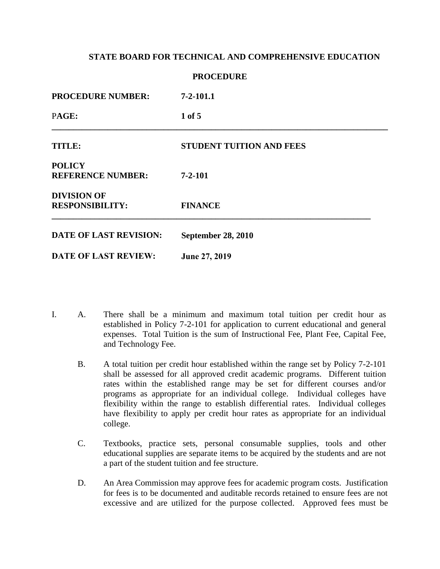**PROCEDURE** 

| <b>FINALEDUNE</b>                            |                                 |  |
|----------------------------------------------|---------------------------------|--|
| <b>PROCEDURE NUMBER:</b>                     | $7 - 2 - 101.1$                 |  |
| PAGE:                                        | $1$ of $5$                      |  |
| <b>TITLE:</b>                                | <b>STUDENT TUITION AND FEES</b> |  |
| <b>POLICY</b><br><b>REFERENCE NUMBER:</b>    | $7 - 2 - 101$                   |  |
| <b>DIVISION OF</b><br><b>RESPONSIBILITY:</b> | <b>FINANCE</b>                  |  |
| <b>DATE OF LAST REVISION:</b>                | <b>September 28, 2010</b>       |  |
| <b>DATE OF LAST REVIEW:</b>                  | June 27, 2019                   |  |

- I. A. There shall be a minimum and maximum total tuition per credit hour as established in Policy 7-2-101 for application to current educational and general expenses. Total Tuition is the sum of Instructional Fee, Plant Fee, Capital Fee, and Technology Fee.
	- B. A total tuition per credit hour established within the range set by Policy 7-2-101 shall be assessed for all approved credit academic programs. Different tuition rates within the established range may be set for different courses and/or programs as appropriate for an individual college. Individual colleges have flexibility within the range to establish differential rates. Individual colleges have flexibility to apply per credit hour rates as appropriate for an individual college.
	- C. Textbooks, practice sets, personal consumable supplies, tools and other educational supplies are separate items to be acquired by the students and are not a part of the student tuition and fee structure.
	- D. An Area Commission may approve fees for academic program costs. Justification for fees is to be documented and auditable records retained to ensure fees are not excessive and are utilized for the purpose collected. Approved fees must be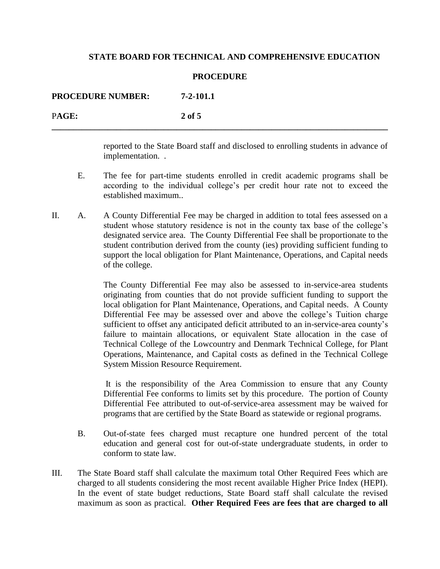#### **PROCEDURE**

**\_\_\_\_\_\_\_\_\_\_\_\_\_\_\_\_\_\_\_\_\_\_\_\_\_\_\_\_\_\_\_\_\_\_\_\_\_\_\_\_\_\_\_\_\_\_\_\_\_\_\_\_\_\_\_\_\_\_\_\_\_\_\_\_\_\_\_\_\_\_\_\_\_\_\_\_\_\_**

**PROCEDURE NUMBER: 7-2-101.1** P**AGE: 2 of 5**

> reported to the State Board staff and disclosed to enrolling students in advance of implementation. .

- E. The fee for part-time students enrolled in credit academic programs shall be according to the individual college's per credit hour rate not to exceed the established maximum..
- II. A. A County Differential Fee may be charged in addition to total fees assessed on a student whose statutory residence is not in the county tax base of the college's designated service area. The County Differential Fee shall be proportionate to the student contribution derived from the county (ies) providing sufficient funding to support the local obligation for Plant Maintenance, Operations, and Capital needs of the college.

The County Differential Fee may also be assessed to in-service-area students originating from counties that do not provide sufficient funding to support the local obligation for Plant Maintenance, Operations, and Capital needs. A County Differential Fee may be assessed over and above the college's Tuition charge sufficient to offset any anticipated deficit attributed to an in-service-area county's failure to maintain allocations, or equivalent State allocation in the case of Technical College of the Lowcountry and Denmark Technical College, for Plant Operations, Maintenance, and Capital costs as defined in the Technical College System Mission Resource Requirement.

It is the responsibility of the Area Commission to ensure that any County Differential Fee conforms to limits set by this procedure. The portion of County Differential Fee attributed to out-of-service-area assessment may be waived for programs that are certified by the State Board as statewide or regional programs.

- B. Out-of-state fees charged must recapture one hundred percent of the total education and general cost for out-of-state undergraduate students, in order to conform to state law.
- III. The State Board staff shall calculate the maximum total Other Required Fees which are charged to all students considering the most recent available Higher Price Index (HEPI). In the event of state budget reductions, State Board staff shall calculate the revised maximum as soon as practical. **Other Required Fees are fees that are charged to all**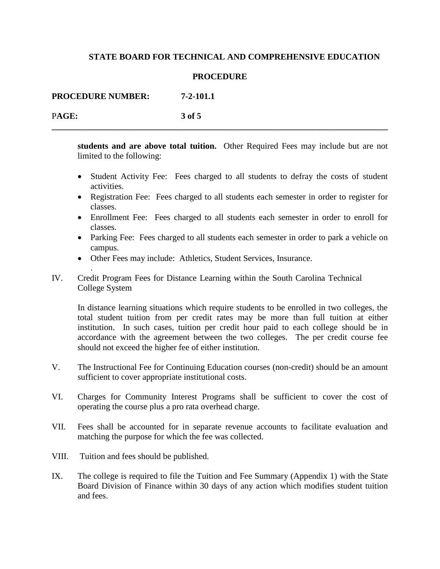#### **PROCEDURE**

**\_\_\_\_\_\_\_\_\_\_\_\_\_\_\_\_\_\_\_\_\_\_\_\_\_\_\_\_\_\_\_\_\_\_\_\_\_\_\_\_\_\_\_\_\_\_\_\_\_\_\_\_\_\_\_\_\_\_\_\_\_\_\_\_\_\_\_\_\_\_\_\_\_\_\_\_\_\_**

**PROCEDURE NUMBER: 7-2-101.1**

P**AGE: 3 of 5**

.

**students and are above total tuition.** Other Required Fees may include but are not limited to the following:

- Student Activity Fee: Fees charged to all students to defray the costs of student activities.
- Registration Fee: Fees charged to all students each semester in order to register for classes.
- Enrollment Fee: Fees charged to all students each semester in order to enroll for classes.
- Parking Fee: Fees charged to all students each semester in order to park a vehicle on campus.
- Other Fees may include: Athletics, Student Services, Insurance.
- IV. Credit Program Fees for Distance Learning within the South Carolina Technical College System

In distance learning situations which require students to be enrolled in two colleges, the total student tuition from per credit rates may be more than full tuition at either institution. In such cases, tuition per credit hour paid to each college should be in accordance with the agreement between the two colleges. The per credit course fee should not exceed the higher fee of either institution.

- V. The Instructional Fee for Continuing Education courses (non-credit) should be an amount sufficient to cover appropriate institutional costs.
- VI. Charges for Community Interest Programs shall be sufficient to cover the cost of operating the course plus a pro rata overhead charge.
- VII. Fees shall be accounted for in separate revenue accounts to facilitate evaluation and matching the purpose for which the fee was collected.
- VIII. Tuition and fees should be published.
- IX. The college is required to file the Tuition and Fee Summary (Appendix 1) with the State Board Division of Finance within 30 days of any action which modifies student tuition and fees.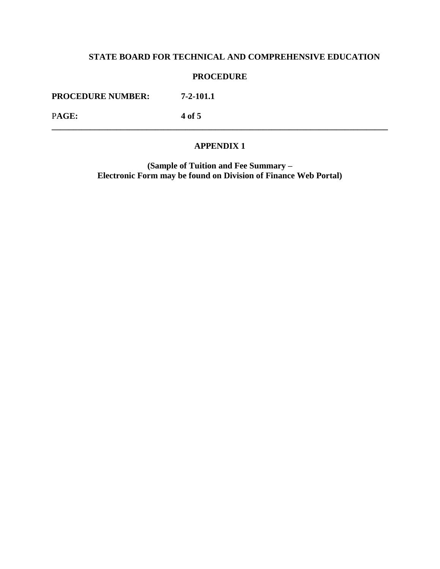### **PROCEDURE**

**PROCEDURE NUMBER: 7-2-101.1**

P**AGE: 4 of 5**

#### **APPENDIX 1**

**\_\_\_\_\_\_\_\_\_\_\_\_\_\_\_\_\_\_\_\_\_\_\_\_\_\_\_\_\_\_\_\_\_\_\_\_\_\_\_\_\_\_\_\_\_\_\_\_\_\_\_\_\_\_\_\_\_\_\_\_\_\_\_\_\_\_\_\_\_\_\_\_\_\_\_\_\_\_**

**(Sample of Tuition and Fee Summary – Electronic Form may be found on Division of Finance Web Portal)**